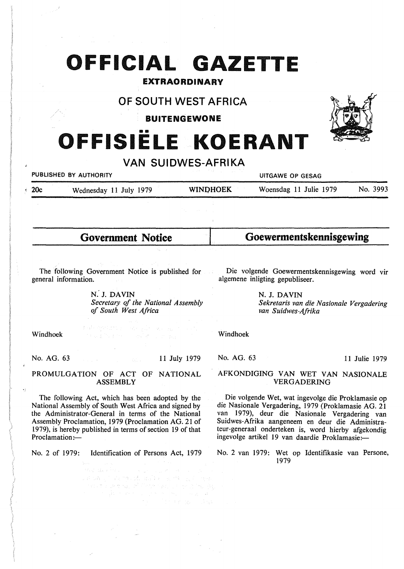# **OFFICIAL GAZETTE**

# EXTRAORDINARY

# OF SOUTH WEST AFRICA

BUITENGEWONE

# •• **OFFISIELE KOERANT**

# **VAN SUIDWES-AFRIKA**

**PUBLISHED BY AUTHORITY CONSUMING A LITTLE CONSUMING A LITTLE CONSUMING A LITTLE CONSUMING A LITTLE CONSUMING A** 

20c Wednesday 11 July 1979 **WINI)HOEK** Woensdag 11 Julie 1979 No. 3993

**Government Notice** 

# **Goewermentskennisgewing**

The following Government Notice is published for general information.

> **N.' J. DAVIN**  *Secretary of the National Assembly of South West Africa*

Die volgende Goewermentskennisgewing word vir algemene inligting gepubliseer.

> *Sekretaris van die Nasionale Vergadering van Suidwes-Afrika*

Windhoek

No. AG. 63 11 July 1979

## PROMULGATION OF ACT OF NATIONAL ASSEMBLY

The following Act, which has been adopted by the National Assembly of South West Africa and signed by the Administrator-General in terms of the National Assembly Proclamation, 1979 (Proclamation AG. 21 of 1979), is hereby published in terms of section 19 of that Proclamation:-

No. 2 of 1979: Identification of Persons Act, 1979

a en la factor de la factor de la factor de la factor.<br>El serviz de la factor de la factor de la factor de la factor de la factor de la factor de la factor de la fac

的复数化学 化二氯化物 医血管下腺炎

**N. J. DAVIN** 

Windhoek

No. AG. 63

11 Julie 1979

## AFKONDIGING VAN WET VAN NASIONALE VERGADERING

Die volgende Wet, wat ingevolge die Proklamasie op die Nasionale Vergadering, 1979 (Proklamasie AG. 21 van 1979), deur die Nasionale Vergadering van Suidwes-Afrika aangeneem en deur die Administrateur-generaal onderteken is, word hierby afgekondig ingevolge artikel 19 van daardie Proklamasie:-

No. 2 van 1979: Wet op Identifikasie van Persone, 1979

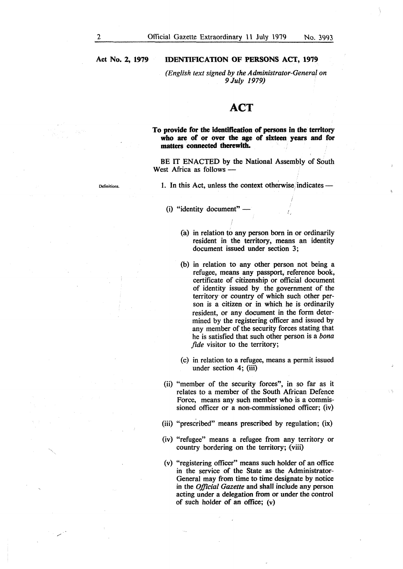*(English text signed by the Administrator-General on 9July 1979)* 

# **ACT**

**To provide for the identification of persons in the territory who are of or over the age of sixteen years and for matters connected therewith.** 

BE IT ENACTED by the National Assembly of South West Africa as follows  $-$ 

1. In this Act, unless the context otherwise indicates -

- (i) "identity document"
	- (a) in relation to any person born in or ordinarily resident in the territory, means an identity document issued under section 3;
	- (b) in relation to any other person not being a refugee, means any passport, reference book, certificate of citizenship or official document of identity issued by the government of the territory or country of which such other person is a citizen or in which he is ordinarily resident, or any document in the form determined by the registering officer and issued by any member of the security forces stating that he is satisfied that such other person is a *bona fide* visitor to the territory;
	- ( c) in relation to a refugee, means a permit issued under section 4; (iii)
- (ii) "member of the security forces", in so far as it relates to a member of the South African Defence Force, means any such member who is a commissioned officer or a non-commissioned officer; (iv)
- (iii) "prescribed" means prescribed by regulation; (ix)
- (iv) "refugee" means a refugee from any territory or country bordering on the territory; (viii)
- (v) "registering officer" means such holder of an office in the service of the State as the Administrator-General may from time to time designate by notice in the *Official Gazette* and shall include any person acting under a delegation from or under the control of such holder of an office; (v)

Definitions.

/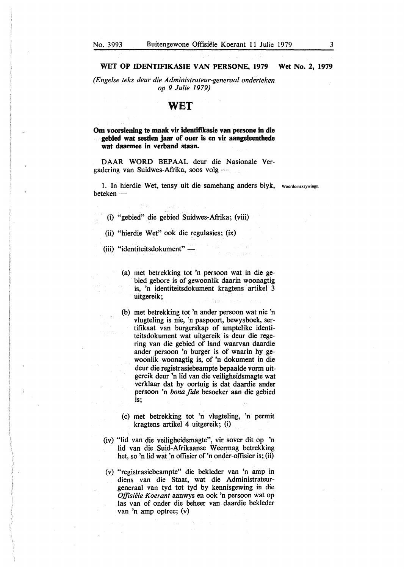*(Engelse teks deur die Administrateur-generaal onderteken op 9 Julie 1979)* 

# **WET**

**Om voorsiening te maak vir identifikasie van persone in die gebied wat sestien jaar of ouer is en vir aangeleenthede wat daarmee in verband staan.** 

DAAR WORD BEPAAL deur die Nasionale Vergadering van Suidwes-Afrika, soos volg -

1. In hierdie Wet, tensy uit die samehang anders blyk, woordomskrywings. beteken -

(i) "gebied" die gebied Suidwes-Afrika; (viii)

- (ii) "hierdie Wet" ook die regulasies; (ix)
- (iii) "identiteitsdokument" -
	- (a) met betrekking tot 'n persoon wat in die gebied gebore is of gewoonlik daarin woonagtig is, 'n identiteitsdokument kragtens artikel 3 uitgereik;
	- (b) met betrekking tot 'n ander persoon wat nie 'n vlugteling is nie, 'n paspoort, bewysboek, sertifikaat van burgerskap of amptelike identiteitsdokument wat uitgereik is deur die regering van die gebied of land waarvan daardie ander persoon 'n burger is of waarin by gewoonlik woonagtig is, of 'n dokument in die deur die registrasiebeampte bepaalde vorm uitgereik deur 'n lid van die veiligbeidsmagte wat verklaar dat by oortuig is dat daardie ander persoon 'n *bona fide* besoeker aan die gebied is;
	- (c) met betrekking tot 'n vlugteling, 'n permit kragtens artikel 4 uitgereik; (i)
- (iv) "lid van die veiligheidsmagte", vir sover dit op 'n lid van die Suid-Mrikaanse Weermag betrekking het, so 'n lid wat 'n offisier of 'n onder-offisier is; (ii)
- (v) "registrasiebeampte" die bekleder van 'n amp in diens van die Staat, wat die Administrateurgeneraal van tyd tot tyd by kennisgewing in die *Offisiiile Koerant* aanwys en ook 'n persoon wat op las van of onder die beheer van daardie bekleder van 'n amp optree; (v)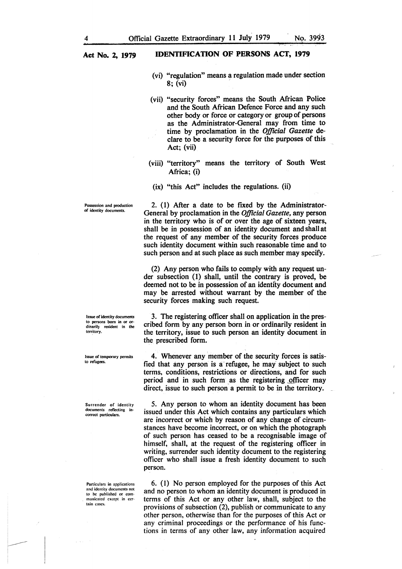- (vi) "regulation" means a regulation made under section  $8:$  (vi)
- (vii) "security forces" means the South African Police and the South African Defence Force and any such other body or force or category or group of persons as the Administrator-General may from time to time by proclamation in the *Official Gazette* declare to be a security force for the purposes of this Act; (vii)
- (viii) "territory" means the territory of South West Africa; (i)
- (ix) "this Act" includes the regulations. (ii)

2. (1) After a date to be fixed by the Administrator-General by proclamation in the *Official Gazette,* any person in the territory who is of or over the age of sixteen years, shall be in possession of an identity document and shall at the request of any member of the security forces produce such identity document within such reasonable time and to such person and at such place as such member may specify.

(2) Any person who fails to comply with any request under subsection (1) shall, until the contrary is proved, be deemed not to be in possession of an identity document and may be arrested without warrant by the member of the security forces making such request.

3. The registering officer shall on application in the prescribed form by any person born in or ordinarily resident in the territory, issue to such person an identity document in the prescribed form.

4. Whenever any member of the security forces is satisfied that any person is a refugee, he may subject to such terms, conditions, restrictions or directions, and for such period and in such form as the registering officer may direct, issue to such person a permit to be in the territory.

5. Any person to whom an identity document has been issued under this Act which contains any particulars which are incorrect or which by reason of any change of circumstances have become incorrect, or on which the photograph of such person has ceased to be a recognisable image of himself, shall, at the request of the registering officer in writing, surrender such identity document to the registering officer who shall issue a fresh identity document to such person.

6. (I) No person employed for the purposes of this Act and no person to whom an identity document is produced in terms of this Act or any other law, shall, subject to the provisions of subsection (2), publish or communicate to any other person, otherwise than for the purposes of this Act or any criminal proceedings or the performance of his functions in terms of any other law, any information acquired

Possession and production of identity documents.

Issue of identity documents to persons born in or ordinarily resident in the territory.

Issue of temporary permits to refugees.

Surrender of identity documents reflecting in correct particulars.

Particulars in applications and identity documents not to he published or communicated except in certain cases.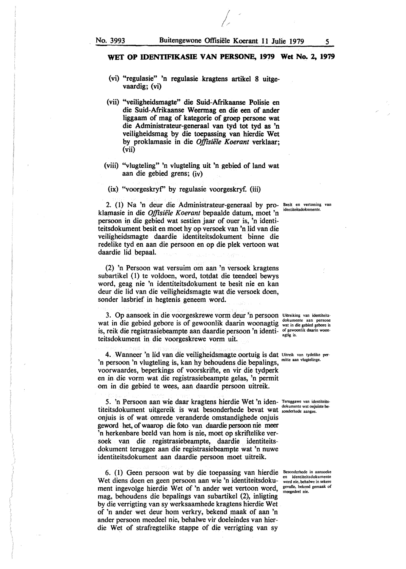*I Ir* 

## **WET OP IDENTIFIKASIE VAN PERSONE, 1979 Wet No. 2, 1979**

- (vi) "regulasie" 'n regulasie kragtens artikel 8 uitgevaardig; (vi)
- (vii) "veiligheidsmagte'' die Suid-Afrikaanse Polisie en die Suid-Afrikaanse Weennag en die een of ander liggaam of mag of kategorie of groep persone wat die Administrateur-generaal van tyd tot tyd as 'n veiligheidsmag by die toepassing van bierdie Wet by proklamasie in die *Offisiele Koerant* verklaar; (vii)
- (viii) "vlugteling" 'n vlugteling uit 'n gebied of land wat aan die gebied grens; (iv)
	- (ix) "voorgeskryf' by regulasie voorgeskryf. (iii)

2. (I) Na 'n deur die Administrateur-generaal by pro-**Besit en vertoning van**  klatnasie in die *Offisie'le Koerant* bepaalde datum, moet 'n persoon in die gebied wat sestien jaar of ouer is, 'n identiteitsdokument besit en moet by op versoek van 'n lid van die veiligheidsmagte daardie identiteitsdokument binne die redelike tyd en aan die persoon en op die plek vertoon wat daardie lid bepaal. identiteitsdokument

(2) 'n Persoon wat versuim om aan 'n versoek kragtens subartikel (1) te voldoen, word, totdat die teendeel bewys word, geag nie 'n identiteitsdokument te besit nie en kan deur die lid van die veiligheidsmagte wat die versoek doen, sonder lasbrief in hegtenis geneem word.

3. Op aansoek in die voorgeskrewe vorm deur 'n persoon Uitreiking van identiteits-Wat in die gebied gebore is of gewoonlik daarin woonagtig wat in die gebied gebore is is, reik die registrasiebeampte aan daardie persoon 'n identi- of gewoonlik daarin woonteitsdokument in die voorgeskrewe vorm uit.

4. Wanneer 'n lid van die veiligheidsmagte oortuig is dat Uitreik van tydelike per-'n persoon 'n vlugteling is, kan hy behoudens die bepalings, voorwaardes, beperkings of voorskrifte, en vir die tydperk en in die vorm wat die registrasiebeampte gelas, 'n permit om in die gebied te wees, aan daardie persoon uitreik.

5. 'n Persoon aan wie daar kragtens bierdie Wet 'n iden- Teruggawe van identiteits **for the broad and the b dual in the bull in the disk include the dokumente wat onjuiste be-**<br>titeitsdokument uitgereik is wat besonderhede bevat wat sonderhede aangee. onjuis is of wat omrede veranderde omstandighede onjuis geword bet, of waarop die foto van daardie persoon nie meer 'n herkenbare beeld van hom is nie, moet op skriftelike versoek van die registrasiebeampte, daardie identiteitsdokument teruggee aan die registrasiebeampte wat 'n nuwe identiteitsdokument aan daardie persoon moet uitreik.

6. (1) Geen persoon wat by die toepassing van hierdie Besonderhede in aansoeke Wet diens doen en geen persoon aan wie 'n identiteitsdoku- word nie, behalwe in sekere ment ingevolge hierdie Wet of 'n ander wet vertoon word, gevalle, bekend gemaak of mag, behoudens die bepalings van subartikel (2), inligting by die verrigting van sy werksaamhede kragtens hierdie Wet of 'n ander wet deur horn verkry, bekend \_maak of aan 'n ander persoon meedeel nie, behalwe vir doeleindes van bierdie Wet of strafregtelike stappe of die verrigting van sy

en identiteitsdokumente meegedeel nie.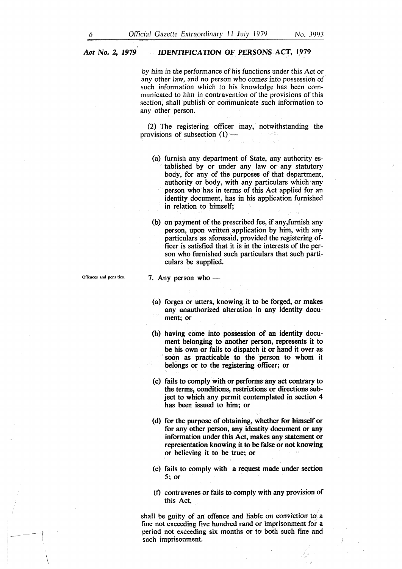by *him in the* performance of his functions under this Act or any other Jaw, and no person who comes into possession of such information which to his knowledge has been communicated to him in contravention of the provisions of this section, shall publish or communicate such information to any other person.

(2) The registering officer may, notwithstanding the provisions of subsection (1) -

(a) furnish any department of State, any authority established by or under any law or any statutory body, for any of the purposes of that department, authority or body, with any particulars which any person who has in terms of this Act applied for an identity document, has in his application furnished in relation to himself;

(b) on payment of the prescribed fee, if any ,furnish any person, upon written application by him, with any particulars as aforesaid, provided the registering officer is satisfied that it is in the interests of the person who furnished such particulars that such particulars be supplied.

 $\mathcal{L}$  $\overline{\phantom{a}}$ 

## 7. Any person who  $-$

- (a) forges or utters, knowing it to be forged, or makes any unauthorized alteration in any identity document; or
- (b) having come into possession of an identity document belonging to another person, represents it to be his own or fails to dispatch it or hand it over as soon as practicable to the person to whom it belongs or to the registering officer; or
- ( c) fails to comply with or performs any act contrary to the terms, conditions, restrictions or directions subject to which any permit contemplated in section 4 has been issued to him; or
- (d) for the purpose of obtaining, whether for himself or for any other person, any identity document or any information under this Act, makes any statement or representation knowing it to be false or not knowing or believing it to be true; or
- ( e) fails to comply with a request made under section *5;* or
- (t) contravenes or fails to comply with any provision of this Act,

shall be guilty of an offence and liable on conviction to a fine not exceeding five hundred rand or imprisonment for a period not exceeding six months or to both such fine and such imprisonment.

Offences and penalties.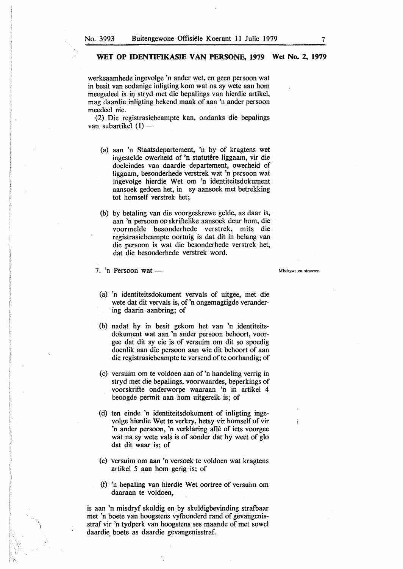werksaamhede ingevolge 'n ander wet, en geen persoon wat in besit van sodanige inligting kom wat na sy wete aan horn meegedeel is in stryd met die bepalings van hierdie artikel, mag 'daardie inligting bekend maak of aan 'n ander persoon meedeel nie.

(2) Die registrasiebeampte kan, ondanks die bepalings van subartikel  $(1)$  -

- (a) aan 'n Staatsdepartement, 'n by of kragtens wet ingestelde owerheid of 'n statutêre liggaam, vir die doeleindes van daardie departement, owerheid of liggaam, besonderhede verstrek wat 'n persoon wat ingevolge hierdie Wet om 'n identiteitsdokument aansoek gedoen het, in sy aansoek met betrekking tot homself verstrek bet;
- (b) by betaling van die voorgeskrewe gelde, as daar is, aan 'n persoon op skriftelike aansoek deur horn, die voormelde besonderhede verstrek, mits die registrasiebeampte oortuig is dat dit in belang van die persoon is wat die besonderhede verstrek bet, dat die besonderhede verstrek word.
- 7. 'n Persoon wat  $-$ 
	- (a) 'n identiteitsdokument vervals of uitgee, met die wete dat dit vervals is, of 'n ongemagtigde verandering daarin aanbring; of
- (b) nadat hy in besit gekom het van 'n identiteitsdokument wat aan 'n ander persoon behoort, voorgee dat dit sy eie is of versuim om dit so spoedig doenlik aan die persoon aan wie dit behoort of aan die registrasiebeampte te versend of te oorhandig; of
- (c) versuim om te voldoen aan of 'n handeling verrig in stryd met die bepalings, voorwaardes, beperkings of voorskrifte onderworpe waaraan 'n in artikel 4 beoogde permit aan horn uitgereik is; of
- ( d) ten einde 'n identiteitsdokument of inligting ingevolge hierdie Wet te verkry, hetsy vir homself of vir 'n ander persoon, 'n verklaring aflê of iets voorgee wat na sy wete vals is of sonder dat hy weet of glo dat dit waar is; of
- (e) versuim om aan 'n versoek te voldoen wat kragtens artikel 5 aan horn gerig is; of
- (f) 'n bepaling van hierdie Wet oortree of versuim om daaraan te voldoen,

is aan 'n misdryf skuldig en by skuldigbevinding stratbaar met 'n boete van hoogstens vythonderd rand of gevangenisstraf vir 'n tydperk van hoogstens ses maande of met sowel daardie, boete as daardie gevangenisstraf.

Misdrywe en strawwe.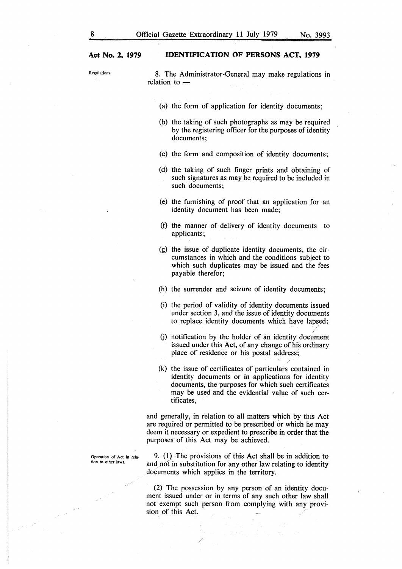Operation of Act in rela**tion to other laws.** 

 $\sim$  1  $^{\prime\prime}$ 

Regulations. 8. The Administrator-General may make regulations in relation to -

- (a) the form of application for identity documents;
- (b) the taking of such photographs as may be required by the registering officer for the purposes of identity documents;
- (c) the form and composition of identity documents;
- (d) the taking of such finger prints and obtaining of such signatures as may be required to be included in such documents;
- (e) the furnishing of proof that an application for an identity document has been made;
- (f) the manner of delivery of identity documents to applicants;
- (g) the issue of duplicate identity documents, the circumstances in which and the conditions subject to which such duplicates may be issued and the fees payable therefor;
- (h) the surrender and seizure of identity documents;
- (i) the period of validity of identity documents issued under section 3, and the issue of identity documents to replace identity documents which have lapsed;
- $(i)$  notification by the holder of an identity document issued under this Act, of any change of his ordinary place of residence or his postal address;
- (k) the issue of certificates of particulars contained in identity documents or in applications for identity documents, the purposes for which such certificates may be used and the evidential value of such certificates,

and generally, in relation to all matters which by this Act are required or permitted to be prescribed or which he may deem it necessary or expedient to prescribe in order that the purposes of this Act may be achieved.

9. (I) The provisions of this Act shall be in addition to and not in substitution for any other law relating to identity documents which applies in the territory.

(2) The possession by any person of an identity document issued under or in terms of any such other law shall not exempt such person from complying with any provision of this Act.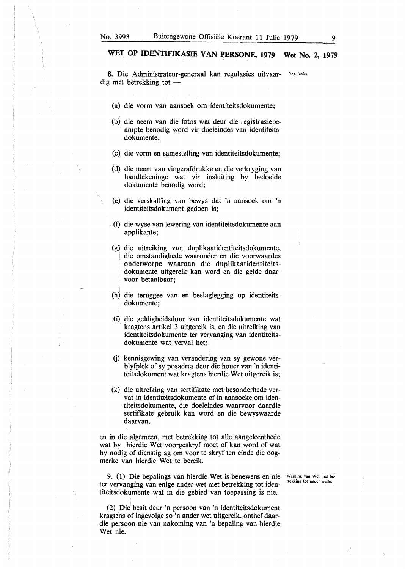8. Die Administrateur-generaal kan regulasies uitvaar- Regulasies. dig met betrekking tot  $-$ 

- (a) die vorm van aansoek om identiteitsdokumente;
- (b) die neem van die fotos wat deur die registrasiebeampte benodig word vir doeleindes van identiteitsdokumente;
- (c) die vorm en samestelling van identiteitsdokumente;
- ( d) die neem van vingeraf drukke en die verkryging van handtekeninge wat vir insluiting by bedoelde dokumente benodig word;
- (e) die verskaffing van bewys dat 'n aansoek om 'n identiteitsdokument gedoen is;
- (f) die wyse van lewering van identiteitsdokumente aan applikante;
- (g) die uitreiking van duplikaatidentiteitsdokumente, die omstandighede waaronder en die voorwaardes onderworpe waaraan die duplikaatidentiteitsdokumente uitgereik kan word en die gelde daarvoor betaalbaar;
- (h) die teruggee van en beslaglegging op identiteitsdokumente;
- (i) die geldigheidsduur van identiteitsdokumente wat kragtens artikel 3 uitgereik is, en die uitreiking van identiteitsdokumente ter veryanging van identiteitsdokumente wat verval het;
- G) kennisgewing van verandering van sy gewone verblyfplek of sy posadres deur die houer van 'n identiteitsdokument wat kragtens hierdie Wet uitgereik is;
- (k) die uitreiking van sertifikate met besonderhede vervat in identiteitsdokumente of in aansoeke om identiteitsdokumente, die doeleindes waarvoor daardie sertifikate gebruik kan word en die bewyswaarde daarvan,

en in die algemeen, met betrekking tot alle aangeleenthede wat by hierdie Wet voorgeskryf moet of kan word of wat hy nodig of dienstig ag om voor te skryf ten einde die oogmerke van hierdie Wet te bereik.

9. (1) Die bepalings van hierdie Wet is benewens en nie ter vervanging van enige ander wet met betrekking tot identiteitsdokumente wat in die gebied van toepassing is nie.

Werking van Wet met betrekking tot ander wette.

(2) Die' besit deur 'n persoon van 'n identiteitsdokument kragtens of ingevolge so 'n ander wet uitgereik., onthef daardie persoon nie van nakoming van 'n bepaling van hierdie Wet nie.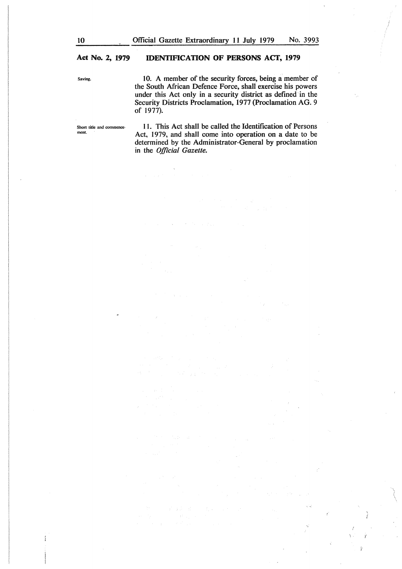Saving.

 $\frac{1}{2}$ 

10. A member of the security forces, being a member of the South African Defence Force, shall exercise his powers under this Act only in a security district as defined in the Security Districts Proclamation, 1977 (Proclamation AG. 9 of 1977).

Short title and commencement.

11. This Act shall be called the Identification of Persons Act, 1979, and shall come into operation on a date to be determined by the Administrator-General by proclamation in the *Official Gazette.* 

Y

Ÿ